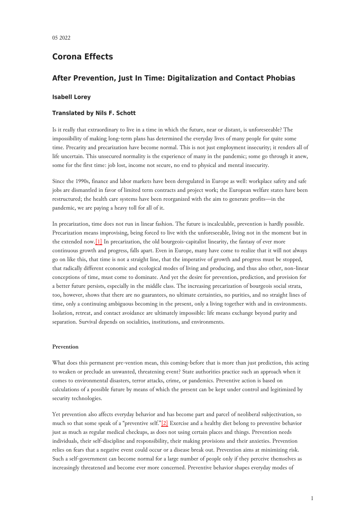# **Corona Effects**

## **After Prevention, Just In Time: Digitalization and Contact Phobias**

## **Isabell Lorey**

### **Translated by Nils F. Schott**

Is it really that extraordinary to live in a time in which the future, near or distant, is unforeseeable? The impossibility of making long-term plans has determined the everyday lives of many people for quite some time. Precarity and precarization have become normal. This is not just employment insecurity; it renders all of life uncertain. This unsecured normality is the experience of many in the pandemic; some go through it anew, some for the first time: job lost, income not secure, no end to physical and mental insecurity.

Since the 1990s, finance and labor markets have been deregulated in Europe as well: workplace safety and safe jobs are dismantled in favor of limited term contracts and project work; the European welfare states have been restructured; the health care systems have been reorganized with the aim to generate profits—in the pandemic, we are paying a heavy toll for all of it.

<span id="page-0-0"></span>In precarization, time does not run in linear fashion. The future is incalculable, prevention is hardly possible. Precarization means improvising, being forced to live with the unforeseeable, living not in the moment but in the extended now.[\[1\]](#page-10-0) In precarization, the old bourgeois-capitalist linearity, the fantasy of ever more continuous growth and progress, falls apart. Even in Europe, many have come to realize that it will not always go on like this, that time is not a straight line, that the imperative of growth and progress must be stopped, that radically different economic and ecological modes of living and producing, and thus also other, non-linear conceptions of time, must come to dominate. And yet the desire for prevention, prediction, and provision for a better future persists, especially in the middle class. The increasing precarization of bourgeois social strata, too, however, shows that there are no guarantees, no ultimate certainties, no purities, and no straight lines of time, only a continuing ambiguous becoming in the present, only a living together with and in environments. Isolation, retreat, and contact avoidance are ultimately impossible: life means exchange beyond purity and separation. Survival depends on socialities, institutions, and environments.

#### **Prevention**

What does this permanent pre-vention mean, this coming-before that is more than just prediction, this acting to weaken or preclude an unwanted, threatening event? State authorities practice such an approach when it comes to environmental disasters, terror attacks, crime, or pandemics. Preventive action is based on calculations of a possible future by means of which the present can be kept under control and legitimized by security technologies.

<span id="page-0-1"></span>Yet prevention also affects everyday behavior and has become part and parcel of neoliberal subjectivation, so much so that some speak of a "preventive self."[\[2\]](#page-10-1) Exercise and a healthy diet belong to preventive behavior just as much as regular medical checkups, as does not using certain places and things. Prevention needs individuals, their self-discipline and responsibility, their making provisions and their anxieties. Prevention relies on fears that a negative event could occur or a disease break out. Prevention aims at minimizing risk. Such a self-government can become normal for a large number of people only if they perceive themselves as increasingly threatened and become ever more concerned. Preventive behavior shapes everyday modes of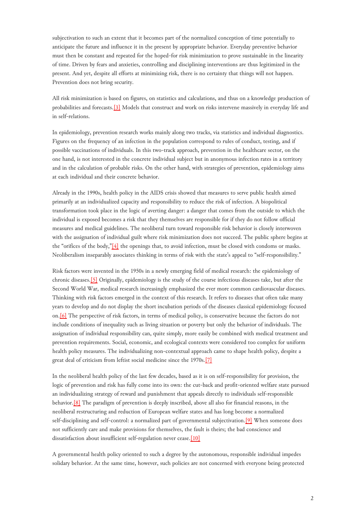subjectivation to such an extent that it becomes part of the normalized conception of time potentially to anticipate the future and influence it in the present by appropriate behavior. Everyday preventive behavior must then be constant and repeated for the hoped-for risk minimization to prove sustainable in the linearity of time. Driven by fears and anxieties, controlling and disciplining interventions are thus legitimized in the present. And yet, despite all efforts at minimizing risk, there is no certainty that things will not happen. Prevention does not bring security.

<span id="page-1-0"></span>All risk minimization is based on figures, on statistics and calculations, and thus on a knowledge production of probabilities and forecasts.[\[3\]](#page-10-2) Models that construct and work on risks intervene massively in everyday life and in self-relations.

In epidemiology, prevention research works mainly along two tracks, via statistics and individual diagnostics. Figures on the frequency of an infection in the population correspond to rules of conduct, testing, and if possible vaccinations of individuals. In this two-track approach, prevention in the healthcare sector, on the one hand, is not interested in the concrete individual subject but in anonymous infection rates in a territory and in the calculation of probable risks. On the other hand, with strategies of prevention, epidemiology aims at each individual and their concrete behavior.

<span id="page-1-1"></span>Already in the 1990s, health policy in the AIDS crisis showed that measures to serve public health aimed primarily at an individualized capacity and responsibility to reduce the risk of infection. A biopolitical transformation took place in the logic of averting danger: a danger that comes from the outside to which the individual is exposed becomes a risk that they themselves are responsible for if they do not follow official measures and medical guidelines. The neoliberal turn toward responsible risk behavior is closely interwoven with the assignation of individual guilt where risk minimization does not succeed. The public sphere begins at the "orifices of the body,"[\[4\]](#page-11-0) the openings that, to avoid infection, must be closed with condoms or masks. Neoliberalism inseparably associates thinking in terms of risk with the state's appeal to "self-responsibility."

<span id="page-1-2"></span>Risk factors were invented in the 1950s in a newly emerging field of medical research: the epidemiology of chronic diseases.[\[5\]](#page-11-1) Originally, epidemiology is the study of the course infectious diseases take, but after the Second World War, medical research increasingly emphasized the ever more common cardiovascular diseases. Thinking with risk factors emerged in the context of this research. It refers to diseases that often take many years to develop and do not display the short incubation periods of the diseases classical epidemiology focused on[.\[6\]](#page-11-2) The perspective of risk factors, in terms of medical policy, is conservative because the factors do not include conditions of inequality such as living situation or poverty but only the behavior of individuals. The assignation of individual responsibility can, quite simply, more easily be combined with medical treatment and prevention requirements. Social, economic, and ecological contexts were considered too complex for uniform health policy measures. The individualizing non-contextual approach came to shape health policy, despite a great deal of criticism from leftist social medicine since the 1970s.[\[7\]](#page-11-3)

<span id="page-1-3"></span>In the neoliberal health policy of the last few decades, based as it is on self-responsibility for provision, the logic of prevention and risk has fully come into its own: the cut-back and profit-oriented welfare state pursued an individualizing strategy of reward and punishment that appeals directly to individuals self-responsible behavior.[\[8\]](#page-11-4) The paradigm of prevention is deeply inscribed, above all also for financial reasons, in the neoliberal restructuring and reduction of European welfare states and has long become a normalized self-disciplining and self-control: a normalized part of governmental subjectivation.[\[9\]](#page-11-5) When someone does not sufficiently care and make provisions for themselves, the fault is theirs; the bad conscience and dissatisfaction about insufficient self-regulation never cease.<sup>[\[10\]](#page-11-6)</sup>

A governmental health policy oriented to such a degree by the autonomous, responsible individual impedes solidary behavior. At the same time, however, such policies are not concerned with everyone being protected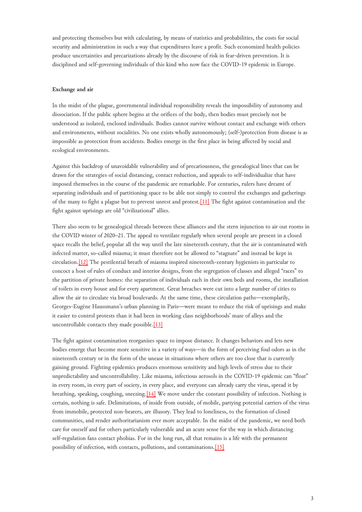and protecting themselves but with calculating, by means of statistics and probabilities, the costs for social security and administration in such a way that expenditures leave a profit. Such economized health policies produce uncertainties and precarizations already by the discourse of risk in fear-driven prevention. It is disciplined and self-governing individuals of this kind who now face the COVID-19 epidemic in Europe.

## **Exchange and air**

In the midst of the plague, governmental individual responsibility reveals the impossibility of autonomy and dissociation. If the public sphere begins at the orifices of the body, then bodies must precisely not be understood as isolated, enclosed individuals. Bodies cannot survive without contact and exchange with others and environments, without socialities. No one exists wholly autonomously; (self-)protection from disease is as impossible as protection from accidents. Bodies emerge in the first place in being affected by social and ecological environments.

<span id="page-2-0"></span>Against this backdrop of unavoidable vulnerability and of precariousness, the genealogical lines that can be drawn for the strategies of social distancing, contact reduction, and appeals to self-individualize that have imposed themselves in the course of the pandemic are remarkable. For centuries, rulers have dreamt of separating individuals and of partitioning space to be able not simply to control the exchanges and gatherings of the many to fight a plague but to prevent unrest and protest.[\[11\]](#page-11-7) The fight against contamination and the fight against uprisings are old "civilizational" allies.

<span id="page-2-1"></span>There also seem to be genealogical threads between these alliances and the stern injunction to air out rooms in the COVID winter of 2020–21. The appeal to ventilate regularly when several people are present in a closed space recalls the belief, popular all the way until the late nineteenth century, that the air is contaminated with infected matter, so-called miasma; it must therefore not be allowed to "stagnate" and instead be kept in circulation.[\[12\]](#page-11-8) The pestilential breath of miasma inspired nineteenth-century hygienists in particular to concoct a host of rules of conduct and interior designs, from the segregation of classes and alleged "races" to the partition of private homes: the separation of individuals each in their own beds and rooms, the installation of toilets in every house and for every apartment. Great breaches were cut into a large number of cities to allow the air to circulate via broad boulevards. At the same time, these circulation paths—exemplarily, Georges-Eugène Haussmann's urban planning in Paris—were meant to reduce the risk of uprisings and make it easier to control protests than it had been in working class neighborhoods' maze of alleys and the uncontrollable contacts they made possible.[\[13\]](#page-11-9)

<span id="page-2-2"></span>The fight against contamination reorganizes space to impose distance. It changes behaviors and lets new bodies emerge that become more sensitive in a variety of ways—in the form of perceiving foul odors as in the nineteenth century or in the form of the unease in situations where others are too close that is currently gaining ground. Fighting epidemics produces enormous sensitivity and high levels of stress due to their unpredictability and uncontrollability. Like miasma, infectious aerosols in the COVID-19 epidemic can "float" in every room, in every part of society, in every place, and everyone can already carry the virus, spread it by breathing, speaking, coughing, sneezing.[\[14\]](#page-11-10) We move under the constant possibility of infection. Nothing is certain, nothing is safe. Delimitations, of inside from outside, of mobile, partying potential carriers of the virus from immobile, protected non-bearers, are illusory. They lead to loneliness, to the formation of closed communities, and render authoritarianism ever more acceptable. In the midst of the pandemic, we need both care for oneself and for others particularly vulnerable and an acute sense for the way in which distancing self-regulation fans contact phobias. For in the long run, all that remains is a life with the permanent possibility of infection, with contacts, pollutions, and contaminations.[\[15\]](#page-11-11)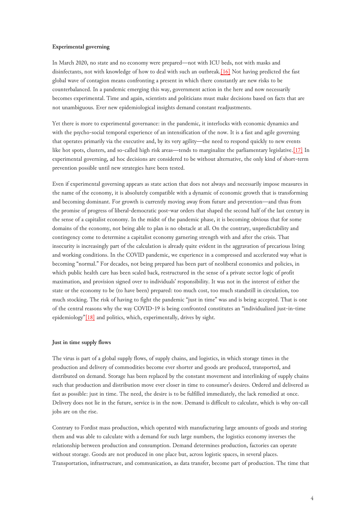#### **Experimental governing**

<span id="page-3-0"></span>In March 2020, no state and no economy were prepared—not with ICU beds, not with masks and disinfectants, not with knowledge of how to deal with such an outbreak.[\[16\]](#page-11-12) Not having predicted the fast global wave of contagion means confronting a present in which there constantly are new risks to be counterbalanced. In a pandemic emerging this way, government action in the here and now necessarily becomes experimental. Time and again, scientists and politicians must make decisions based on facts that are not unambiguous. Ever new epidemiological insights demand constant readjustments.

<span id="page-3-1"></span>Yet there is more to experimental governance: in the pandemic, it interlocks with economic dynamics and with the psycho-social temporal experience of an intensification of the now. It is a fast and agile governing that operates primarily via the executive and, by its very agility—the need to respond quickly to new events like hot spots, clusters, and so-called high risk areas—tends to marginalize the parliamentary legislative.<sup>[17]</sup> In experimental governing, ad hoc decisions are considered to be without alternative, the only kind of short-term prevention possible until new strategies have been tested.

<span id="page-3-2"></span>Even if experimental governing appears as state action that does not always and necessarily impose measures in the name of the economy, it is absolutely compatible with a dynamic of economic growth that is transforming and becoming dominant. For growth is currently moving away from future and prevention—and thus from the promise of progress of liberal-democratic post-war orders that shaped the second half of the last century in the sense of a capitalist economy. In the midst of the pandemic phase, it is becoming obvious that for some domains of the economy, not being able to plan is no obstacle at all. On the contrary, unpredictability and contingency come to determine a capitalist economy garnering strength with and after the crisis. That insecurity is increasingly part of the calculation is already quite evident in the aggravation of precarious living and working conditions. In the COVID pandemic, we experience in a compressed and accelerated way what is becoming "normal." For decades, not being prepared has been part of neoliberal economics and policies, in which public health care has been scaled back, restructured in the sense of a private sector logic of profit maximation, and provision signed over to individuals' responsibility. It was not in the interest of either the state or the economy to be (to have been) prepared: too much cost, too much standstill in circulation, too much stocking. The risk of having to fight the pandemic "just in time" was and is being accepted. That is one of the central reasons why the way COVID-19 is being confronted constitutes an "individualized just-in-time epidemiology["\[18\]](#page-12-1) and politics, which, experimentally, drives by sight.

#### **Just in time supply flows**

The virus is part of a global supply flows, of supply chains, and logistics, in which storage times in the production and delivery of commodities become ever shorter and goods are produced, transported, and distributed on demand. Storage has been replaced by the constant movement and interlinking of supply chains such that production and distribution move ever closer in time to consumer's desires. Ordered and delivered as fast as possible: just in time. The need, the desire is to be fulfilled immediately, the lack remedied at once. Delivery does not lie in the future, service is in the now. Demand is difficult to calculate, which is why on-call jobs are on the rise.

<span id="page-3-3"></span>Contrary to Fordist mass production, which operated with manufacturing large amounts of goods and storing them and was able to calculate with a demand for such large numbers, the logistics economy inverses the relationship between production and consumption. Demand determines production, factories can operate without storage. Goods are not produced in one place but, across logistic spaces, in several places. Transportation, infrastructure, and communication, as data transfer, become part of production. The time that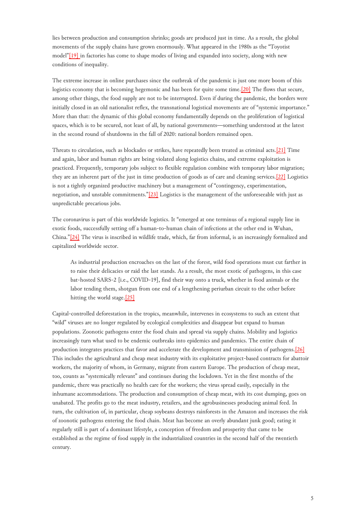lies between production and consumption shrinks; goods are produced just in time. As a result, the global movements of the supply chains have grown enormously. What appeared in the 1980s as the "Toyotist model["\[19\] i](#page-12-2)n factories has come to shape modes of living and expanded into society, along with new conditions of inequality.

<span id="page-4-0"></span>The extreme increase in online purchases since the outbreak of the pandemic is just one more boom of this logistics economy that is becoming hegemonic and has been for quite some time.<sup>[20]</sup> The flows that secure, among other things, the food supply are not to be interrupted. Even if during the pandemic, the borders were initially closed in an old nationalist reflex, the transnational logistical movements are of "systemic importance." More than that: the dynamic of this global economy fundamentally depends on the proliferation of logistical spaces, which is to be secured, not least of all, by national governments—something understood at the latest in the second round of shutdowns in the fall of 2020: national borders remained open.

<span id="page-4-1"></span>Threats to circulation, such as blockades or strikes, have repeatedly been treated as criminal acts.[\[21\]](#page-12-4) Time and again, labor and human rights are being violated along logistics chains, and extreme exploitation is practiced. Frequently, temporary jobs subject to flexible regulation combine with temporary labor migration; they are an inherent part of the just in time production of goods as of care and cleaning services.[\[22\]](#page-12-5) Logistics is not a tightly organized productive machinery but a management of "contingency, experimentation, negotiation, and unstable commitments."[\[23\]](#page-12-6) Logistics is the management of the unforeseeable with just as unpredictable precarious jobs.

<span id="page-4-2"></span>The coronavirus is part of this worldwide logistics. It "emerged at one terminus of a regional supply line in exotic foods, successfully setting off a human-to-human chain of infections at the other end in Wuhan, China."[\[24\]](#page-12-7) The virus is inscribed in wildlife trade, which, far from informal, is an increasingly formalized and capitalized worldwide sector.

<span id="page-4-3"></span>As industrial production encroaches on the last of the forest, wild food operations must cut farther in to raise their delicacies or raid the last stands. As a result, the most exotic of pathogens, in this case bat-hosted SARS-2 [i.e., COVID-19], find their way onto a truck, whether in food animals or the labor tending them, shotgun from one end of a lengthening periurban circuit to the other before hitting the world stage.<sup>[\[25\]](#page-12-8)</sup>

<span id="page-4-4"></span>Capital-controlled deforestation in the tropics, meanwhile, intervenes in ecosystems to such an extent that "wild" viruses are no longer regulated by ecological complexities and disappear but expand to human populations. Zoonotic pathogens enter the food chain and spread via supply chains. Mobility and logistics increasingly turn what used to be endemic outbreaks into epidemics and pandemics. The entire chain of production integrates practices that favor and accelerate the development and transmission of pathogens.[\[26\]](#page-12-9) This includes the agricultural and cheap meat industry with its exploitative project-based contracts for abattoir workers, the majority of whom, in Germany, migrate from eastern Europe. The production of cheap meat, too, counts as "systemically relevant" and continues during the lockdown. Yet in the first months of the pandemic, there was practically no health care for the workers; the virus spread easily, especially in the inhumane accommodations. The production and consumption of cheap meat, with its cost dumping, goes on unabated. The profits go to the meat industry, retailers, and the agrobusinesses producing animal feed. In turn, the cultivation of, in particular, cheap soybeans destroys rainforests in the Amazon and increases the risk of zoonotic pathogens entering the food chain. Meat has become an overly abundant junk good; eating it regularly still is part of a dominant lifestyle, a conception of freedom and prosperity that came to be established as the regime of food supply in the industrialized countries in the second half of the twentieth century.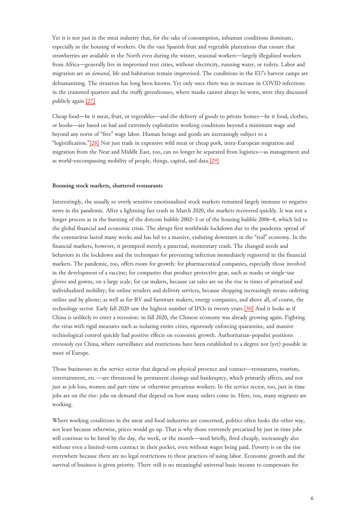<span id="page-5-0"></span>Yet it is not just in the meat industry that, for the sake of consumption, inhuman conditions dominate, especially in the housing of workers. On the vast Spanish fruit and vegetable plantations that ensure that strawberries are available in the North even during the winter, seasonal workers—largely illegalized workers from Africa—generally live in improvised tent cities, without electricity, running water, or toilets. Labor and migration are *on demand*, life and habitation remain improvised. The conditions in the EU's harvest camps are dehumanizing. The situation has long been known. Yet only once there was in increase in COVID infections in the crammed quarters and the stuffy greenhouses, where masks cannot always be worn, were they discussed publicly again.[\[27\]](#page-12-10)

<span id="page-5-1"></span>Cheap food—be it meat, fruit, or vegetables—and the delivery of goods to private homes—be it food, clothes, or books—are based on bad and extremely exploitative working conditions beyond a minimum wage and beyond any norm of "free" wage labor. Human beings and goods are increasingly subject to a "logistification.["\[28\]](#page-12-11) Not just trade in expensive wild meat or cheap pork, intra-European migration and migration from the Near and Middle East, too, can no longer be separated from logistics—as management and as world-encompassing mobility of people, things, capital, and data.[\[29\]](#page-12-12)

#### **Booming stock markets, shuttered restaurants**

<span id="page-5-2"></span>Interestingly, the usually so overly sensitive emotionalized stock markets remained largely immune to negative news in the pandemic. After a lightning fast crash in March 2020, the markets recovered quickly. It was not a longer process as in the bursting of the dotcom bubble 2002–3 or of the housing bubble 2006–8, which led to the global financial and economic crisis. The abrupt first worldwide lockdown due to the pandemic spread of the coronavirus lasted many weeks and has led to a massive, enduring downturn in the "real" economy. In the financial markets, however, it prompted merely a punctual, momentary crash. The changed needs and behaviors in the lockdown and the techniques for preventing infection immediately registered in the financial markets. The pandemic, too, offers room for growth: for pharmaceutical companies, especially those involved in the development of a vaccine; for companies that produce protective gear, such as masks or single-use gloves and gowns, on a large scale; for car makers, because car sales are on the rise in times of privatized and individualized mobility; for online retailers and delivery services, because shopping increasingly means ordering online and by phone; as well as for RV and furniture makers, energy companies, and above all, of course, the technology sector. Early fall 2020 saw the highest number of IPOs in twenty years.[\[30\]](#page-13-0) And it looks as if China is unlikely to enter a recession: in fall 2020, the Chinese economy was already growing again. Fighting the virus with rigid measures such as isolating entire cities, rigorously enforcing quarantine, and massive technological control quickly had positive effects on economic growth. Authoritarian-populist positions enviously eye China, where surveillance and restrictions have been established to a degree not (yet) possible in most of Europe.

Those businesses in the service sector that depend on physical presence and contact—restaurants, tourism, entertainment, etc.—are threatened by permanent closings and bankruptcy, which primarily affects, and not just as job loss, women and part-time or otherwise precarious workers. In the service sector, too, just in time jobs are on the rise: jobs on demand that depend on how many orders come in. Here, too, many migrants are working.

<span id="page-5-3"></span>Where working conditions in the meat and food industries are concerned, politics often looks the other way, not least because otherwise, prices would go up. That is why those extremely precarized by just in time jobs will continue to be hired by the day, the week, or the month—used briefly, fired cheaply, increasingly also without even a limited-term contract in their pocket, even without wages being paid. Poverty is on the rise everywhere because there are no legal restrictions to these practices of using labor. Economic growth and the survival of business is given priority. There still is no meaningful universal basic income to compensate for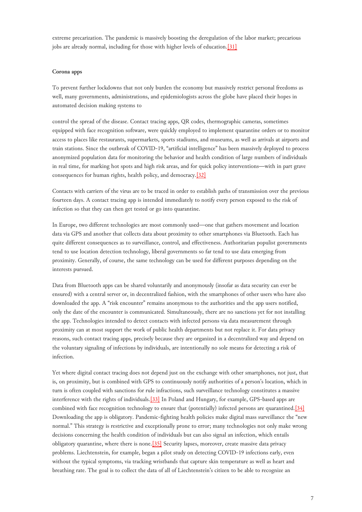extreme precarization. The pandemic is massively boosting the deregulation of the labor market; precarious jobs are already normal, including for those with higher levels of education.<sup>[\[31\]](#page-13-1)</sup>

## **Corona apps**

To prevent further lockdowns that not only burden the economy but massively restrict personal freedoms as well, many governments, administrations, and epidemiologists across the globe have placed their hopes in automated decision making systems to

<span id="page-6-0"></span>control the spread of the disease. Contact tracing apps, QR codes, thermographic cameras, sometimes equipped with face recognition software, were quickly employed to implement quarantine orders or to monitor access to places like restaurants, supermarkets, sports stadiums, and museums, as well as arrivals at airports and train stations. Since the outbreak of COVID-19, "artificial intelligence" has been massively deployed to process anonymized population data for monitoring the behavior and health condition of large numbers of individuals in real time, for marking hot spots and high risk areas, and for quick policy interventions—with in part grave consequences for human rights, health policy, and democracy.[\[32\]](#page-13-2)

Contacts with carriers of the virus are to be traced in order to establish paths of transmission over the previous fourteen days. A contact tracing app is intended immediately to notify every person exposed to the risk of infection so that they can then get tested or go into quarantine.

In Europe, two different technologies are most commonly used—one that gathers movement and location data via GPS and another that collects data about proximity to other smartphones via Bluetooth. Each has quite different consequences as to surveillance, control, and effectiveness. Authoritarian populist governments tend to use location detection technology, liberal governments so far tend to use data emerging from proximity. Generally, of course, the same technology can be used for different purposes depending on the interests pursued.

Data from Bluetooth apps can be shared voluntarily and anonymously (insofar as data security can ever be ensured) with a central server or, in decentralized fashion, with the smartphones of other users who have also downloaded the app. A "risk encounter" remains anonymous to the authorities and the app users notified, only the date of the encounter is communicated. Simultaneously, there are no sanctions yet for not installing the app. Technologies intended to detect contacts with infected persons via data measurement through proximity can at most support the work of public health departments but not replace it. For data privacy reasons, such contact tracing apps, precisely because they are organized in a decentralized way and depend on the voluntary signaling of infections by individuals, are intentionally no sole means for detecting a risk of infection.

<span id="page-6-1"></span>Yet where digital contact tracing does not depend just on the exchange with other smartphones, not just, that is, on proximity, but is combined with GPS to continuously notify authorities of a person's location, which in turn is often coupled with sanctions for rule infractions, such surveillance technology constitutes a massive interference with the rights of individuals.[\[33\]](#page-13-3) In Poland and Hungary, for example, GPS-based apps are combined with face recognition technology to ensure that (potentially) infected persons are quarantined.[\[34\]](#page-13-4) Downloading the app is obligatory. Pandemic-fighting health policies make digital mass surveillance the "new normal." This strategy is restrictive and exceptionally prone to error; many technologies not only make wrong decisions concerning the health condition of individuals but can also signal an infection, which entails obligatory quarantine, where there is none.[\[35\]](#page-13-5) Security lapses, moreover, create massive data privacy problems. Liechtenstein, for example, began a pilot study on detecting COVID-19 infections early, even without the typical symptoms, via tracking wristbands that capture skin temperature as well as heart and breathing rate. The goal is to collect the data of all of Liechtenstein's citizen to be able to recognize an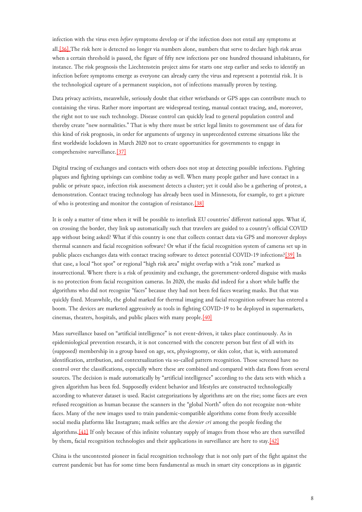infection with the virus even *before* symptoms develop or if the infection does not entail any symptoms at all[.\[36\] T](#page-13-6)he risk here is detected no longer via numbers alone, numbers that serve to declare high risk areas when a certain threshold is passed, the figure of fifty new infections per one hundred thousand inhabitants, for instance. The risk prognosis the Liechtenstein project aims for starts one step earlier and seeks to identify an infection before symptoms emerge as everyone can already carry the virus and represent a potential risk. It is the technological capture of a permanent suspicion, not of infections manually proven by testing.

<span id="page-7-0"></span>Data privacy activists, meanwhile, seriously doubt that either wristbands or GPS apps can contribute much to containing the virus. Rather more important are widespread testing, manual contact tracing, and, moreover, the right not to use such technology. Disease control can quickly lead to general population control and thereby create "new normalities." That is why there must be strict legal limits to government use of data for this kind of risk prognosis, in order for arguments of urgency in unprecedented extreme situations like the first worldwide lockdown in March 2020 not to create opportunities for governments to engage in comprehensive surveillance[.\[37\]](#page-13-7)

<span id="page-7-1"></span>Digital tracing of exchanges and contacts with others does not stop at detecting possible infections. Fighting plagues and fighting uprisings can combine today as well. When many people gather and have contact in a public or private space, infection risk assessment detects a cluster; yet it could also be a gathering of protest, a demonstration. Contact tracing technology has already been used in Minnesota, for example, to get a picture of who is protesting and monitor the contagion of resistance.[\[38\]](#page-13-8)

<span id="page-7-2"></span>It is only a matter of time when it will be possible to interlink EU countries' different national apps. What if, on crossing the border, they link up automatically such that travelers are guided to a country's official COVID app without being asked? What if this country is one that collects contact data via GPS and moreover deploys thermal scanners and facial recognition software? Or what if the facial recognition system of cameras set up in public places exchanges data with contact tracing software to detect potential COVID-19 infections?[\[39\]](#page-13-9) In that case, a local "hot spot" or regional "high risk area" might overlap with a "risk zone" marked as insurrectional. Where there is a risk of proximity and exchange, the government-ordered disguise with masks is no protection from facial recognition cameras. In 2020, the masks did indeed for a short while baffle the algorithms who did not recognize "faces" because they had not been fed faces wearing masks. But that was quickly fixed. Meanwhile, the global marked for thermal imaging and facial recognition software has entered a boom. The devices are marketed aggressively as tools in fighting COVID-19 to be deployed in supermarkets, cinemas, theaters, hospitals, and public places with many people.[\[40\]](#page-14-0)

<span id="page-7-3"></span>Mass surveillance based on "artificial intelligence" is not event-driven, it takes place continuously. As in epidemiological prevention research, it is not concerned with the concrete person but first of all with its (supposed) membership in a group based on age, sex, physiognomy, or skin color, that is, with automated identification, attribution, and contextualization via so-called pattern recognition. Those screened have no control over the classifications, especially where these are combined and compared with data flows from several sources. The decision is made automatically by "artificial intelligence" according to the data sets with which a given algorithm has been fed. Supposedly evident behavior and lifestyles are constructed technologically according to whatever dataset is used. Racist categorizations by algorithms are on the rise; some faces are even refused recognition as human because the scanners in the "global North" often do not recognize non-white faces. Many of the new images used to train pandemic-compatible algorithms come from freely accessible social media platforms like Instagram; mask selfies are the *dernier cri* among the people feeding the algorithms[.\[41\]](#page-14-1) If only because of this infinite voluntary supply of images from those who are then surveilled by them, facial recognition technologies and their applications in surveillance are here to stay.[\[42\]](#page-14-2)

<span id="page-7-4"></span>China is the uncontested pioneer in facial recognition technology that is not only part of the fight against the current pandemic but has for some time been fundamental as much in smart city conceptions as in gigantic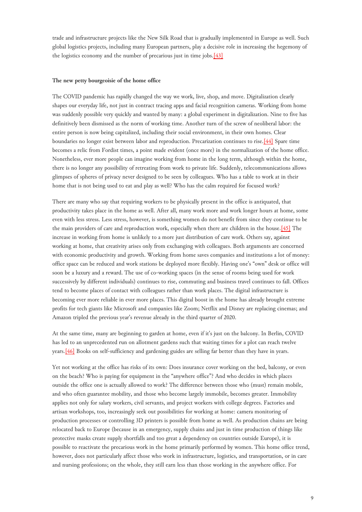trade and infrastructure projects like the New Silk Road that is gradually implemented in Europe as well. Such global logistics projects, including many European partners, play a decisive role in increasing the hegemony of the logistics economy and the number of precarious just in time jobs.[\[43\]](#page-14-3)

#### **The new petty bourgeoisie of the home office**

<span id="page-8-0"></span>The COVID pandemic has rapidly changed the way we work, live, shop, and move. Digitalization clearly shapes our everyday life, not just in contract tracing apps and facial recognition cameras. Working from home was suddenly possible very quickly and wanted by many: a global experiment in digitalization. Nine to five has definitively been dismissed as the norm of working time. Another turn of the screw of neoliberal labor: the entire person is now being capitalized, including their social environment, in their own homes. Clear boundaries no longer exist between labor and reproduction. Precarization continues to rise.[\[44\]](#page-14-4) Spare time becomes a relic from Fordist times, a point made evident (once more) in the normalization of the home office. Nonetheless, ever more people can imagine working from home in the long term, although within the home, there is no longer any possibility of retreating from work to private life. Suddenly, telecommunications allows glimpses of spheres of privacy never designed to be seen by colleagues. Who has a table to work at in their home that is not being used to eat and play as well? Who has the calm required for focused work?

<span id="page-8-1"></span>There are many who say that requiring workers to be physically present in the office is antiquated, that productivity takes place in the home as well. After all, many work more and work longer hours at home, some even with less stress. Less stress, however, is something women do not benefit from since they continue to be the main providers of care and reproduction work, especially when there are children in the house.[\[45\]](#page-14-5) The increase in working from home is unlikely to a more just distribution of care work. Others say, against working at home, that creativity arises only from exchanging with colleagues. Both arguments are concerned with economic productivity and growth. Working from home saves companies and institutions a lot of money: office space can be reduced and work stations be deployed more flexibly. Having one's "own" desk or office will soon be a luxury and a reward. The use of co-working spaces (in the sense of rooms being used for work successively by different individuals) continues to rise, commuting and business travel continues to fall. Offices tend to become places of contact with colleagues rather than work places. The digital infrastructure is becoming ever more reliable in ever more places. This digital boost in the home has already brought extreme profits for tech giants like Microsoft and companies like Zoom; Netflix and Disney are replacing cinemas; and Amazon tripled the previous year's revenue already in the third quarter of 2020.

<span id="page-8-2"></span>At the same time, many are beginning to garden at home, even if it's just on the balcony. In Berlin, COVID has led to an unprecedented run on allotment gardens such that waiting times for a plot can reach twelve years.[\[46\]](#page-14-6) Books on self-sufficiency and gardening guides are selling far better than they have in years.

Yet not working at the office has risks of its own: Does insurance cover working on the bed, balcony, or even on the beach? Who is paying for equipment in the "anywhere office"? And who decides in which places outside the office one is actually allowed to work? The difference between those who (must) remain mobile, and who often guarantee mobility, and those who become largely immobile, becomes greater. Immobility applies not only for salary workers, civil servants, and project workers with college degrees. Factories and artisan workshops, too, increasingly seek out possibilities for working at home: camera monitoring of production processes or controlling 3D printers is possible from home as well. As production chains are being relocated back to Europe (because in an emergency, supply chains and just in time production of things like protective masks create supply shortfalls and too great a dependency on countries outside Europe), it is possible to reactivate the precarious work in the home primarily performed by women. This home office trend, however, does not particularly affect those who work in infrastructure, logistics, and transportation, or in care and nursing professions; on the whole, they still earn less than those working in the anywhere office. For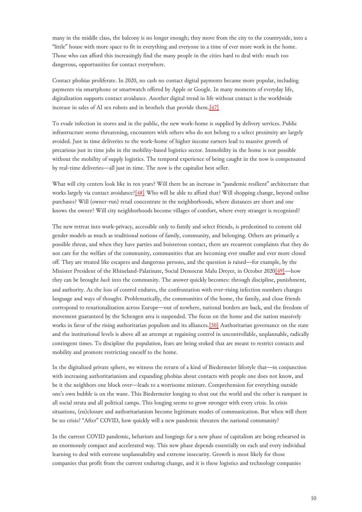many in the middle class, the balcony is no longer enough; they move from the city to the countryside, into a "little" house with more space to fit in everything and everyone in a time of ever more work in the home. Those who can afford this increasingly find the many people in the cities hard to deal with: much too dangerous, opportunities for contact everywhere.

<span id="page-9-0"></span>Contact phobias proliferate. In 2020, no cash no contact digital payments became more popular, including payments via smartphone or smartwatch offered by Apple or Google. In many moments of everyday life, digitalization supports contact avoidance. Another digital trend in life without contact is the worldwide increase in sales of AI sex robots and in brothels that provide them.[\[47\]](#page-14-7)

To evade infection in stores and in the public, the new work-home is supplied by delivery services. Public infrastructure seems threatening, encounters with others who do not belong to a select proximity are largely avoided. Just in time deliveries to the work-home of higher income earners lead to massive growth of precarious just in time jobs in the mobility-based logistics sector. Immobility in the home is not possible without the mobility of supply logistics. The temporal experience of being caught in the now is compensated by real-time deliveries—all just in time. The now is the capitalist best seller.

<span id="page-9-1"></span>What will city centers look like in ten years? Will there be an increase in "pandemic resilient" architecture that works largely via contact avoidance?[\[48\]](#page-14-8) Who will be able to afford that? Will shopping change, beyond online purchases? Will (owner-run) retail concentrate in the neighborhoods, where distances are short and one knows the owner? Will city neighborhoods become villages of comfort, where every stranger is recognized?

<span id="page-9-2"></span>The new retreat into work-privacy, accessible only to family and select friends, is predestined to cement old gender models as much as traditional notions of family, community, and belonging. Others are primarily a possible threat, and when they have parties and boisterous contact, there are recurrent complaints that they do not care for the welfare of the community, communities that are becoming ever smaller and ever more closed off. They are treated like escapees and dangerous persons, and the question is raised—for example, by the Minister President of the Rhineland-Palatinate, Social Democrat Malu Dreyer, in October 2020[\[49\]—](#page-14-9)how they can be brought *back* into the community. The answer quickly becomes: through discipline, punishment, and authority. As the loss of control endures, the confrontation with ever-rising infection numbers changes language and ways of thought. Problematically, the communities of the home, the family, and close friends correspond to renationalization across Europe—out of nowhere, national borders are back, and the freedom of movement guaranteed by the Schengen area is suspended. The focus on the home and the nation massively works in favor of the rising authoritarian populism and its alliances.<sup>[50]</sup> Authoritarian governance on the state and the institutional levels is above all an attempt at regaining control in uncontrollable, unplannable, radically contingent times. To discipline the population, fears are being stoked that are meant to restrict contacts and mobility and promote restricting oneself to the home.

In the digitalized private sphere, we witness the return of a kind of Biedermeier lifestyle that—in conjunction with increasing authoritarianism and expanding phobias about contacts with people one does not know, and be it the neighbors one block over—leads to a worrisome mixture. Comprehension for everything outside one's own bubble is on the wane. This Biedermeier longing to shut out the world and the other is rampant in all social strata and all political camps. This longing seems to grow stronger with every crisis. In crisis situations, (en)closure and authoritarianism become legitimate modes of communication. But when will there be no crisis? "After" COVID, how quickly will a new pandemic threaten the national community?

In the current COVID pandemic, behaviors and longings for a new phase of capitalism are being rehearsed in an enormously compact and accelerated way. This new phase depends essentially on each and every individual learning to deal with extreme unplannability and extreme insecurity. Growth is most likely for those companies that profit from the current enduring change, and it is these logistics and technology companies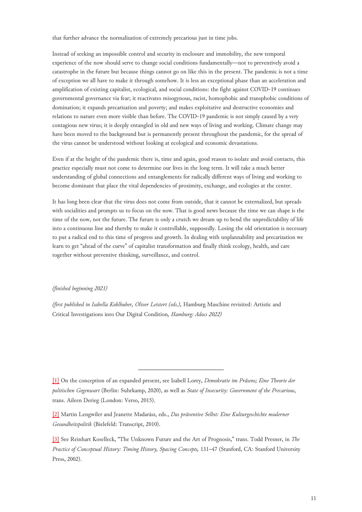that further advance the normalization of extremely precarious just in time jobs.

Instead of seeking an impossible control and security in enclosure and immobility, the new temporal experience of the now should serve to change social conditions fundamentally—not to preventively avoid a catastrophe in the future but because things cannot go on like this in the present. The pandemic is not a time of exception we all have to make it through somehow. It is less an exceptional phase than an acceleration and amplification of existing capitalist, ecological, and social conditions: the fight against COVID-19 continues governmental governance via fear; it reactivates misogynous, racist, homophobic and transphobic conditions of domination; it expands precarization and poverty; and makes exploitative and destructive economies and relations to nature even more visible than before. The COVID-19 pandemic is not simply caused by a very contagious new virus; it is deeply entangled in old and new ways of living and working. Climate change may have been moved to the background but is permanently present throughout the pandemic, for the spread of the virus cannot be understood without looking at ecological and economic devastations.

Even if at the height of the pandemic there is, time and again, good reason to isolate and avoid contacts, this practice especially must not come to determine our lives in the long term. It will take a much better understanding of global connections and entanglements for radically different ways of living and working to become dominant that place the vital dependencies of proximity, exchange, and ecologies at the center.

It has long been clear that the virus does not come from outside, that it cannot be externalized, but spreads with socialities and prompts us to focus on the now. That is good news because the time we can shape is the time of the now, not the future. The future is only a crutch we dream up to bend the unpredictability of life into a continuous line and thereby to make it controllable, supposedly. Losing the old orientation is necessary to put a radical end to this time of progress and growth. In dealing with unplannability and precarization we learn to get "ahead of the curve" of capitalist transformation and finally think ecology, health, and care together without preventive thinking, surveillance, and control.

#### *(finished beginning 2021)*

*(first published in Isabella Kohlhuber, Oliver Leistert (eds.),* Hamburg Maschine revisited: Artistic and Critical Investigations into Our Digital Condition*, Hamburg: Adocs 2022)*

<span id="page-10-0"></span>[<sup>\[1\]</sup>](#page-0-0) On the conception of an expanded present, see Isabell Lorey, *Demokratie im Präsens; Eine Theorie der politischen Gegenwart* (Berlin: Suhrkamp, 2020), as well as *State of Insecurity: Government of the Precarious*, trans. Aileen Derieg (London: Verso, 2015).

<span id="page-10-1"></span>[<sup>\[2\]</sup>](#page-0-1) Martin Lengwiler and Jeanette Madarász, eds., *Das präventive Selbst: Eine Kulturgeschichte moderner Gesundheitspolitik* (Bielefeld: Transcript, 2010).

<span id="page-10-2"></span>[<sup>\[3\]</sup>](#page-1-0) See Reinhart Koselleck, "The Unknown Future and the Art of Prognosis," trans. Todd Presner, in *The Practice of Conceptual History: Timing History, Spacing Concepts,* 131–47 (Stanford, CA: Stanford University Press, 2002).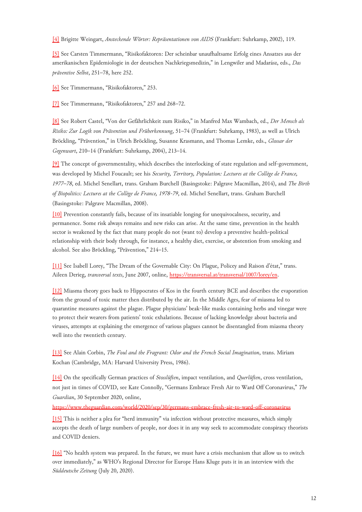<span id="page-11-0"></span>[\[4\]](#page-1-1) Brigitte Weingart, *Ansteckende Wörter: Repräsentationen von AIDS* (Frankfurt: Suhrkamp, 2002), 119.

<span id="page-11-1"></span>[\[5\]](#page-1-2) See Carsten Timmermann, "Risikofaktoren: Der scheinbar unaufhaltsame Erfolg eines Ansatzes aus der amerikanischen Epidemiologie in der deutschen Nachkriegsmedizin," in Lengwiler and Madarász, eds., *Das präventive Selbst*, 251–78, here 252.

<span id="page-11-2"></span>[\[6\]](#page-1-2) See Timmermann, "Risikofaktoren," 253.

<span id="page-11-3"></span>[\[7\]](#page-1-2) See Timmermann, "Risikofaktoren," 257 and 268–72.

<span id="page-11-4"></span>[\[8\]](#page-1-3) See Robert Castel, "Von der Gefährlichkeit zum Risiko," in Manfred Max Wambach, ed., *Der Mensch als Risiko: Zur Logik von Prävention und Früherkennung*, 51–74 (Frankfurt: Suhrkamp, 1983), as well as Ulrich Bröckling, "Prävention," in Ulrich Bröckling, Susanne Krasmann, and Thomas Lemke, eds., *Glossar der Gegenwart*, 210–14 (Frankfurt: Suhrkamp, 2004), 213–14.

<span id="page-11-5"></span>[\[9\]](#page-1-3) The concept of governmentality, which describes the interlocking of state regulation and self-government, was developed by Michel Foucault; see his *Security, Territory, Population: Lectures at the Collège de France, 1977–78*, ed. Michel Senellart, trans. Graham Burchell (Basingstoke: Palgrave Macmillan, 2014), and *The Birth of Biopolitics: Lectures at the Collège de France, 1978-79*, ed. Michel Senellart, trans. Graham Burchell (Basingstoke: Palgrave Macmillan, 2008).

<span id="page-11-6"></span>[\[10\]](#page-1-3) Prevention constantly fails, because of its insatiable longing for unequivocalness, security, and permanence. Some risk always remains and new risks can arise. At the same time, prevention in the health sector is weakened by the fact that many people do not (want to) develop a preventive health-political relationship with their body through, for instance, a healthy diet, exercise, or abstention from smoking and alcohol. See also Bröckling, "Prävention," 214–15.

<span id="page-11-7"></span>[\[11\]](#page-2-0) See Isabell Lorey, "The Dream of the Governable City: On Plague, Policey and Raison d'état," trans. Aileen Derieg, *transversal texts*, June 2007, online, [https://transversal.at/transversal/1007/lorey/en.](https://transversal.at/transversal/1007/lorey/en)

<span id="page-11-8"></span>[\[12\]](#page-2-1) Miasma theory goes back to Hippocrates of Kos in the fourth century BCE and describes the evaporation from the ground of toxic matter then distributed by the air. In the Middle Ages, fear of miasma led to quarantine measures against the plague. Plague physicians' beak-like masks containing herbs and vinegar were to protect their wearers from patients' toxic exhalations. Because of lacking knowledge about bacteria and viruses, attempts at explaining the emergence of various plagues cannot be disentangled from miasma theory well into the twentieth century.

<span id="page-11-9"></span>[\[13\]](#page-2-1) See Alain Corbin, *The Foul and the Fragrant: Odor and the French Social Imagination*, trans. Miriam Kochan (Cambridge, MA: Harvard University Press, 1986).

<span id="page-11-10"></span>[\[14\]](#page-2-2) On the specifically German practices of *Stosslüften*, impact ventilation, and *Querlüften*, cross ventilation, not just in times of COVID, see Kate Connolly, "Germans Embrace Fresh Air to Ward Off Coronavirus," *The Guardian*, 30 September 2020, online,

<https://www.theguardian.com/world/2020/sep/30/germans-embrace-fresh-air-to-ward-off-coronavirus>

<span id="page-11-11"></span>[\[15\]](#page-2-2) This is neither a plea for "herd immunity" via infection without protective measures, which simply accepts the death of large numbers of people, nor does it in any way seek to accommodate conspiracy theorists and COVID deniers.

<span id="page-11-12"></span>[\[16\]](#page-3-0) "No health system was prepared. In the future, we must have a crisis mechanism that allow us to switch over immediately," as WHO's Regional Director for Europe Hans Kluge puts it in an interview with the *Süddeutsche Zeitung* (July 20, 2020).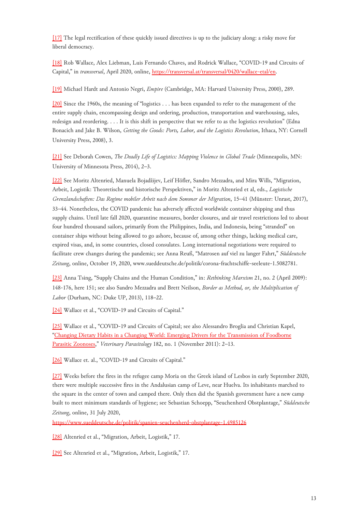<span id="page-12-0"></span>[\[17\]](#page-3-1) The legal rectification of these quickly issued directives is up to the judiciary along: a risky move for liberal democracy.

<span id="page-12-1"></span>[\[18\]](#page-3-2) Rob Wallace, Alex Liebman, Luis Fernando Chaves, and Rodrick Wallace, "COVID-19 and Circuits of Capital," in *transversal*, April 2020, online, [https://transversal.at/transversal/0420/wallace-etal/en.](https://transversal.at/transversal/0420/wallace-etal/en)

<span id="page-12-2"></span>[\[19\]](#page-3-3) Michael Hardt and Antonio Negri, *Empire* (Cambridge, MA: Harvard University Press, 2000), 289.

<span id="page-12-3"></span>[\[20\]](#page-4-0) Since the 1960s, the meaning of "logistics . . . has been expanded to refer to the management of the entire supply chain, encompassing design and ordering, production, transportation and warehousing, sales, redesign and reordering. . . . It is this shift in perspective that we refer to as the logistics revolution" (Edna Bonacich and Jake B. Wilson, *Getting the Goods: Ports, Labor, and the Logistics Revolution*, Ithaca, NY: Cornell University Press, 2008), 3.

<span id="page-12-4"></span>[\[21\]](#page-4-1) See Deborah Cowen, *The Deadly Life of Logistics: Mapping Violence in Global Trade* (Minneapolis, MN: University of Minnesota Press, 2014), 2–3.

<span id="page-12-5"></span>[\[22\]](#page-4-1) See Moritz Altenried, Manuela Bojadžijev, Leif Höfler, Sandro Mezzadra, and Mira Wills, "Migration, Arbeit, Logistik: Theoretische und historische Perspektiven," in Moritz Altenried et al, eds., *Logistische Grenzlandschaften: Das Regime mobiler Arbeit nach dem Sommer der Migration*, 15–41 (Münster: Unrast, 2017), 33–44. Nonetheless, the COVID pandemic has adversely affected worldwide container shipping and thus supply chains. Until late fall 2020, quarantine measures, border closures, and air travel restrictions led to about four hundred thousand sailors, primarily from the Philippines, India, and Indonesia, being "stranded" on container ships without being allowed to go ashore, because of, among other things, lacking medical care, expired visas, and, in some countries, closed consulates. Long international negotiations were required to facilitate crew changes during the pandemic; see Anna Reuß, "Matrosen auf viel zu langer Fahrt," *Süddeutsche Zeitung*, online, October 19, 2020, www.sueddeutsche.de/politik/corona-frachtschiffe-seeleute-1.5082781.

<span id="page-12-6"></span>[\[23\]](#page-4-1) Anna Tsing, "Supply Chains and the Human Condition," in: *Rethinking Marxism* 21, no. 2 (April 2009): 148-176, here 151; see also Sandro Mezzadra and Brett Neilson, *Border as Method, or, the Multiplication of Labor* (Durham, NC: Duke UP, 2013), 118–22.

<span id="page-12-7"></span>[\[24\]](#page-4-2) Wallace et al., "COVID-19 and Circuits of Capital."

<span id="page-12-8"></span>[\[25\]](#page-4-3) Wallace et al., "COVID-19 and Circuits of Capital; see also Alessandro Broglia and Christian Kapel, "[Changing Dietary Habits in a Changing World: Emerging Drivers for the Transmission of Foodborne](https://doi.org/10.1016/j.vetpar.2011.07.011) [Parasitic Zoonoses,](https://doi.org/10.1016/j.vetpar.2011.07.011)" *Veterinary Parasitology* 182, no. 1 (November 2011): 2–13.

<span id="page-12-9"></span>[\[26\]](#page-4-4) Wallace et. al., "COVID-19 and Circuits of Capital."

<span id="page-12-10"></span>[\[27\]](#page-5-0) Weeks before the fires in the refugee camp Moria on the Greek island of Lesbos in early September 2020, there were multiple successive fires in the Andalusian camp of Leve, near Huelva. Its inhabitants marched to the square in the center of town and camped there. Only then did the Spanish government have a new camp built to meet minimum standards of hygiene; see Sebastian Schoepp, "Seuchenherd Obstplantage," *Süddeutsche Zeitung*, online, 31 July 2020,

<https://www.sueddeutsche.de/politik/spanien-seuchenherd-obstplantage-1.4985126>

<span id="page-12-11"></span>[\[28\]](#page-5-1) Altenried et al., "Migration, Arbeit, Logistik," 17.

<span id="page-12-12"></span>[\[29\]](#page-5-1) See Altenried et al., "Migration, Arbeit, Logistik," 17.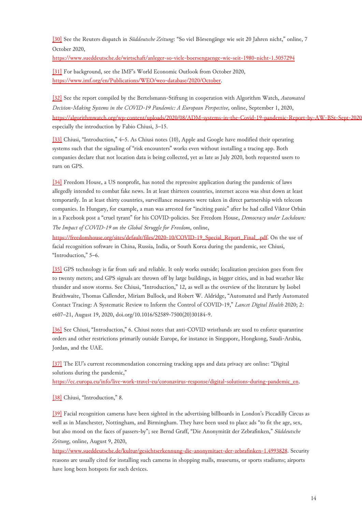<span id="page-13-0"></span>[\[30\]](#page-5-2) See the Reuters dispatch in *Süddeutsche Zeitung*: "So viel Börsengänge wie seit 20 Jahren nicht," online, 7 October 2020,

<https://www.sueddeutsche.de/wirtschaft/anleger-so-viele-boersengaenge-wie-seit-1980-nicht-1.5057294>

<span id="page-13-1"></span>[\[31\]](#page-5-3) For background, see the IMF's World Economic Outlook from October 2020, [https://www.imf.org/en/Publications/WEO/weo-database/2020/October.](https://www.imf.org/en/Publications/WEO/weo-database/2020/October)

<span id="page-13-2"></span>[\[32\]](#page-6-0) See the report compiled by the Bertelsmann-Stiftung in cooperation with Algorithm Watch, *Automated Decision-Making Systems in the COVID-19 Pandemic: A European Perspective*, online, September 1, 2020, https://algorithmwatch.org/wp-content/uploads/2020/08/ADM-systems-in-the-Covid-19-pandemic-Report-by-AW-BSt-Sept-2020 especially the introduction by Fabio Chiusi, 3–15.

<span id="page-13-3"></span>[\[33\]](#page-6-1) Chiusi, "Introduction," 4–5. As Chiusi notes (10), Apple and Google have modified their operating systems such that the signaling of "risk encounters" works even without installing a tracing app. Both companies declare that not location data is being collected, yet as late as July 2020, both requested users to turn on GPS.

<span id="page-13-4"></span>[\[34\]](#page-6-1) Freedom House, a US nonprofit, has noted the repressive application during the pandemic of laws allegedly intended to combat fake news. In at least thirteen countries, internet access was shut down at least temporarily. In at least thirty countries, surveillance measures were taken in direct partnership with telecom companies. In Hungary, for example, a man was arrested for "inciting panic" after he had called Viktor Orbán in a Facebook post a "cruel tyrant" for his COVID-policies. See Freedom House, *Democracy under Lockdown: The Impact of COVID-19 on the Global Struggle for Freedom*, online,

[https://freedomhouse.org/sites/default/files/2020-10/COVID-19\\_Special\\_Report\\_Final\\_.pdf.](https://freedomhouse.org/sites/default/files/2020-10/COVID-19_Special_Report_Final_.pdf) On the use of facial recognition software in China, Russia, India, or South Korea during the pandemic, see Chiusi, "Introduction," 5–6.

<span id="page-13-5"></span>[\[35\]](#page-6-1) GPS technology is far from safe and reliable. It only works outside; localization precision goes from five to twenty meters; and GPS signals are thrown off by large buildings, in bigger cities, and in bad weather like thunder and snow storms. See Chiusi, "Introduction," 12, as well as the overview of the literature by Isobel Braithwaite, Thomas Callender, Miriam Bullock, and Robert W. Aldridge, "Automated and Partly Automated Contact Tracing: A Systematic Review to Inform the Control of COVID-19," *Lancet Digital Health* 2020; 2: e607–21, August 19, 2020, doi.org/10.1016/S2589-7500(20)30184-9.

<span id="page-13-6"></span>[\[36\]](#page-6-1) See Chiusi, "Introduction," 6. Chiusi notes that anti-COVID wristbands are used to enforce quarantine orders and other restrictions primarily outside Europe, for instance in Singapore, Hongkong, Saudi-Arabia, Jordan, and the UAE.

<span id="page-13-7"></span>[\[37\]](#page-7-0) The EU's current recommendation concerning tracking apps and data privacy are online: "Digital solutions during the pandemic,"

[https://ec.europa.eu/info/live-work-travel-eu/coronavirus-response/digital-solutions-during-pandemic\\_en.](https://ec.europa.eu/info/live-work-travel-eu/coronavirus-response/digital-solutions-during-pandemic_en)

<span id="page-13-8"></span>[\[38\]](#page-7-1) Chiusi, "Introduction," 8.

<span id="page-13-9"></span>[\[39\]](#page-7-2) Facial recognition cameras have been sighted in the advertising billboards in London's Piccadilly Circus as well as in Manchester, Nottingham, and Birmingham. They have been used to place ads "to fit the age, sex, but also mood on the faces of passers-by"; see Bernd Graff, "Die Anonymität der Zebrafinken," *Süddeutsche Zeitung*, online, August 9, 2020,

[https://www.sueddeutsche.de/kultur/gesichtserkennung-die-anonymitaet-der-zebrafinken-1.4993828.](https://www.sueddeutsche.de/kultur/gesichtserkennung-die-anonymitaet-der-zebrafinken-1.4993828) Security reasons are usually cited for installing such cameras in shopping malls, museums, or sports stadiums; airports have long been hotspots for such devices.